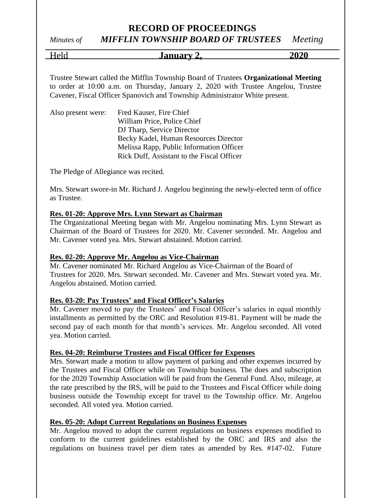# **RECORD OF PROCEEDINGS**

# *Minutes of MIFFLIN TOWNSHIP BOARD OF TRUSTEES Meeting*

Held **January 2, 2020**

Trustee Stewart called the Mifflin Township Board of Trustees **Organizational Meeting** to order at 10:00 a.m. on Thursday, January 2, 2020 with Trustee Angelou, Trustee Cavener, Fiscal Officer Spanovich and Township Administrator White present.

| Also present were: | Fred Kauser, Fire Chief                    |
|--------------------|--------------------------------------------|
|                    | William Price, Police Chief                |
|                    | DJ Tharp, Service Director                 |
|                    | Becky Kadel, Human Resources Director      |
|                    | Melissa Rapp, Public Information Officer   |
|                    | Rick Duff, Assistant to the Fiscal Officer |

The Pledge of Allegiance was recited.

Mrs. Stewart swore-in Mr. Richard J. Angelou beginning the newly-elected term of office as Trustee.

## **Res. 01-20: Approve Mrs. Lynn Stewart as Chairman**

The Organizational Meeting began with Mr. Angelou nominating Mrs. Lynn Stewart as Chairman of the Board of Trustees for 2020. Mr. Cavener seconded. Mr. Angelou and Mr. Cavener voted yea. Mrs. Stewart abstained. Motion carried.

## **Res. 02-20: Approve Mr. Angelou as Vice-Chairman**

Mr. Cavener nominated Mr. Richard Angelou as Vice-Chairman of the Board of Trustees for 2020. Mrs. Stewart seconded. Mr. Cavener and Mrs. Stewart voted yea. Mr. Angelou abstained. Motion carried.

## **Res. 03-20: Pay Trustees' and Fiscal Officer's Salaries**

Mr. Cavener moved to pay the Trustees' and Fiscal Officer's salaries in equal monthly installments as permitted by the ORC and Resolution #19-81. Payment will be made the second pay of each month for that month's services. Mr. Angelou seconded. All voted yea. Motion carried.

## **Res. 04-20: Reimburse Trustees and Fiscal Officer for Expenses**

Mrs. Stewart made a motion to allow payment of parking and other expenses incurred by the Trustees and Fiscal Officer while on Township business. The dues and subscription for the 2020 Township Association will be paid from the General Fund. Also, mileage, at the rate prescribed by the IRS, will be paid to the Trustees and Fiscal Officer while doing business outside the Township except for travel to the Township office. Mr. Angelou seconded. All voted yea. Motion carried.

## **Res. 05-20: Adopt Current Regulations on Business Expenses**

Mr. Angelou moved to adopt the current regulations on business expenses modified to conform to the current guidelines established by the ORC and IRS and also the regulations on business travel per diem rates as amended by Res. #147-02. Future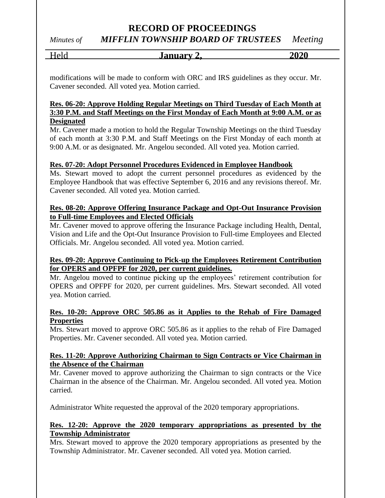# **RECORD OF PROCEEDINGS**

# *Minutes of MIFFLIN TOWNSHIP BOARD OF TRUSTEES Meeting*

Held **January 2, 2020**

modifications will be made to conform with ORC and IRS guidelines as they occur. Mr. Cavener seconded. All voted yea. Motion carried.

# **Res. 06-20: Approve Holding Regular Meetings on Third Tuesday of Each Month at 3:30 P.M. and Staff Meetings on the First Monday of Each Month at 9:00 A.M. or as Designated**

Mr. Cavener made a motion to hold the Regular Township Meetings on the third Tuesday of each month at 3:30 P.M. and Staff Meetings on the First Monday of each month at 9:00 A.M. or as designated. Mr. Angelou seconded. All voted yea. Motion carried.

# **Res. 07-20: Adopt Personnel Procedures Evidenced in Employee Handbook**

Ms. Stewart moved to adopt the current personnel procedures as evidenced by the Employee Handbook that was effective September 6, 2016 and any revisions thereof. Mr. Cavener seconded. All voted yea. Motion carried.

# **Res. 08-20: Approve Offering Insurance Package and Opt-Out Insurance Provision to Full-time Employees and Elected Officials**

Mr. Cavener moved to approve offering the Insurance Package including Health, Dental, Vision and Life and the Opt-Out Insurance Provision to Full-time Employees and Elected Officials. Mr. Angelou seconded. All voted yea. Motion carried.

## **Res. 09-20: Approve Continuing to Pick-up the Employees Retirement Contribution for OPERS and OPFPF for 2020, per current guidelines.**

Mr. Angelou moved to continue picking up the employees' retirement contribution for OPERS and OPFPF for 2020, per current guidelines. Mrs. Stewart seconded. All voted yea. Motion carried.

# **Res. 10-20: Approve ORC 505.86 as it Applies to the Rehab of Fire Damaged Properties**

Mrs. Stewart moved to approve ORC 505.86 as it applies to the rehab of Fire Damaged Properties. Mr. Cavener seconded. All voted yea. Motion carried.

## **Res. 11-20: Approve Authorizing Chairman to Sign Contracts or Vice Chairman in the Absence of the Chairman**

Mr. Cavener moved to approve authorizing the Chairman to sign contracts or the Vice Chairman in the absence of the Chairman. Mr. Angelou seconded. All voted yea. Motion carried.

Administrator White requested the approval of the 2020 temporary appropriations.

# **Res. 12-20: Approve the 2020 temporary appropriations as presented by the Township Administrator**

Mrs. Stewart moved to approve the 2020 temporary appropriations as presented by the Township Administrator. Mr. Cavener seconded. All voted yea. Motion carried.